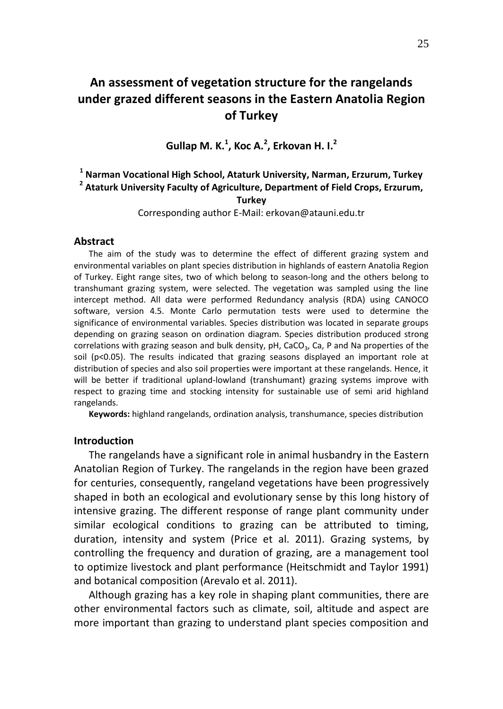# **An assessment of vegetation structure for the rangelands under grazed different seasons in the Eastern Anatolia Region of Turkey**

**Gullap M. K. 1 , Koc A. 2 , Erkovan H. I. 2**

## **1 Narman Vocational High School, Ataturk University, Narman, Erzurum, Turkey 2 Ataturk University Faculty of Agriculture, Department of Field Crops, Erzurum,**

## **Turkey**

Corresponding author E-Mail: erkovan@atauni.edu.tr

#### **Abstract**

The aim of the study was to determine the effect of different grazing system and environmental variables on plant species distribution in highlands of eastern Anatolia Region of Turkey. Eight range sites, two of which belong to season-long and the others belong to transhumant grazing system, were selected. The vegetation was sampled using the line intercept method. All data were performed Redundancy analysis (RDA) using CANOCO software, version 4.5. Monte Carlo permutation tests were used to determine the significance of environmental variables. Species distribution was located in separate groups depending on grazing season on ordination diagram. Species distribution produced strong correlations with grazing season and bulk density, pH, CaCO<sub>3</sub>, Ca, P and Na properties of the soil ( $p<0.05$ ). The results indicated that grazing seasons displayed an important role at distribution of species and also soil properties were important at these rangelands. Hence, it will be better if traditional upland-lowland (transhumant) grazing systems improve with respect to grazing time and stocking intensity for sustainable use of semi arid highland rangelands.

**Keywords:** highland rangelands, ordination analysis, transhumance, species distribution

## **Introduction**

The rangelands have a significant role in animal husbandry in the Eastern Anatolian Region of Turkey. The rangelands in the region have been grazed for centuries, consequently, rangeland vegetations have been progressively shaped in both an ecological and evolutionary sense by this long history of intensive grazing. The different response of range plant community under similar ecological conditions to grazing can be attributed to timing, duration, intensity and system (Price et al. 2011). Grazing systems, by controlling the frequency and duration of grazing, are a management tool to optimize livestock and plant performance (Heitschmidt and Taylor 1991) and botanical composition (Arevalo et al. 2011).

Although grazing has a key role in shaping plant communities, there are other environmental factors such as climate, soil, altitude and aspect are more important than grazing to understand plant species composition and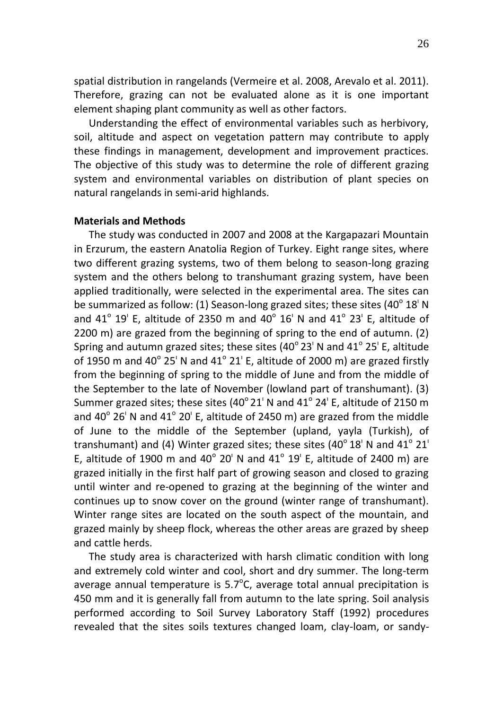spatial distribution in rangelands (Vermeire et al. 2008, Arevalo et al. 2011). Therefore, grazing can not be evaluated alone as it is one important element shaping plant community as well as other factors.

Understanding the effect of environmental variables such as herbivory, soil, altitude and aspect on vegetation pattern may contribute to apply these findings in management, development and improvement practices. The objective of this study was to determine the role of different grazing system and environmental variables on distribution of plant species on natural rangelands in semi-arid highlands.

## **Materials and Methods**

The study was conducted in 2007 and 2008 at the Kargapazari Mountain in Erzurum, the eastern Anatolia Region of Turkey. Eight range sites, where two different grazing systems, two of them belong to season-long grazing system and the others belong to transhumant grazing system, have been applied traditionally, were selected in the experimental area. The sites can be summarized as follow: (1) Season-long grazed sites; these sites (40 $^{\circ}$  18 $^{\prime}$  N and 41<sup>°</sup> 19' E, altitude of 2350 m and 40<sup>°</sup> 16' N and 41<sup>°</sup> 23' E, altitude of 2200 m) are grazed from the beginning of spring to the end of autumn. (2) Spring and autumn grazed sites; these sites (40 $^{\circ}$  23' N and 41 $^{\circ}$  25' E, altitude of 1950 m and 40 $^{\circ}$  25' N and 41 $^{\circ}$  21' E, altitude of 2000 m) are grazed firstly from the beginning of spring to the middle of June and from the middle of the September to the late of November (lowland part of transhumant). (3) Summer grazed sites; these sites (40 $^{\circ}$  21' N and 41 $^{\circ}$  24' E, altitude of 2150 m and 40 $^{\circ}$  26' N and 41 $^{\circ}$  20' E, altitude of 2450 m) are grazed from the middle of June to the middle of the September (upland, yayla (Turkish), of transhumant) and (4) Winter grazed sites; these sites (40 $^{\circ}$  18<sup>'</sup> N and 41 $^{\circ}$  21<sup>'</sup> E, altitude of 1900 m and 40 $^{\circ}$  20' N and 41 $^{\circ}$  19' E, altitude of 2400 m) are grazed initially in the first half part of growing season and closed to grazing until winter and re-opened to grazing at the beginning of the winter and continues up to snow cover on the ground (winter range of transhumant). Winter range sites are located on the south aspect of the mountain, and grazed mainly by sheep flock, whereas the other areas are grazed by sheep and cattle herds.

The study area is characterized with harsh climatic condition with long and extremely cold winter and cool, short and dry summer. The long-term average annual temperature is  $5.7^{\circ}$ C, average total annual precipitation is 450 mm and it is generally fall from autumn to the late spring. Soil analysis performed according to Soil Survey Laboratory Staff (1992) procedures revealed that the sites soils textures changed loam, clay-loam, or sandy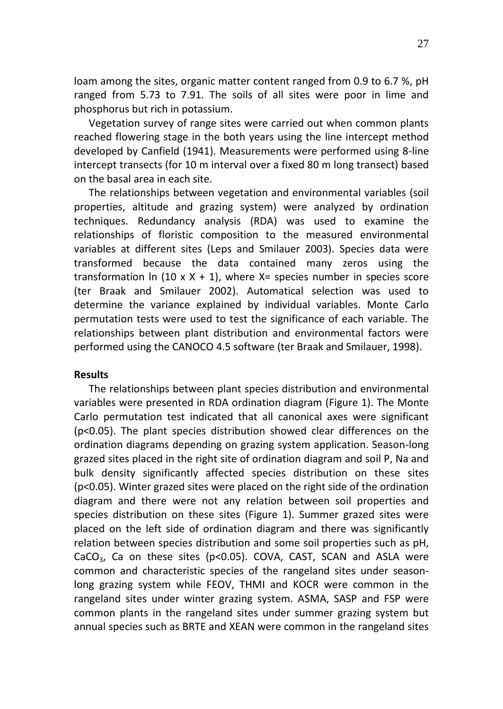loam among the sites, organic matter content ranged from 0.9 to 6.7 %, pH ranged from 5.73 to 7.91. The soils of all sites were poor in lime and phosphorus but rich in potassium.

Vegetation survey of range sites were carried out when common plants reached flowering stage in the both years using the line intercept method developed by Canfield (1941). Measurements were performed using 8-line intercept transects (for 10 m interval over a fixed 80 m long transect) based on the basal area in each site.

The relationships between vegetation and environmental variables (soil properties, altitude and grazing system) were analyzed by ordination techniques. Redundancy analysis (RDA) was used to examine the relationships of floristic composition to the measured environmental variables at different sites (Leps and Smilauer 2003). Species data were transformed because the data contained many zeros using the transformation  $\ln$  (10 x X + 1), where X= species number in species score (ter Braak and Smilauer 2002). Automatical selection was used to determine the variance explained by individual variables. Monte Carlo permutation tests were used to test the significance of each variable. The relationships between plant distribution and environmental factors were performed using the CANOCO 4.5 software (ter Braak and Smilauer, 1998).

### **Results**

The relationships between plant species distribution and environmental variables were presented in RDA ordination diagram (Figure 1). The Monte Carlo permutation test indicated that all canonical axes were significant (p<0.05). The plant species distribution showed clear differences on the ordination diagrams depending on grazing system application. Season-long grazed sites placed in the right site of ordination diagram and soil P, Na and bulk density significantly affected species distribution on these sites (p<0.05). Winter grazed sites were placed on the right side of the ordination diagram and there were not any relation between soil properties and species distribution on these sites (Figure 1). Summer grazed sites were placed on the left side of ordination diagram and there was significantly relation between species distribution and some soil properties such as pH, CaCO<sub>3</sub>, Ca on these sites ( $p$ <0.05). COVA, CAST, SCAN and ASLA were common and characteristic species of the rangeland sites under seasonlong grazing system while FEOV, THMI and KOCR were common in the rangeland sites under winter grazing system. ASMA, SASP and FSP were common plants in the rangeland sites under summer grazing system but annual species such as BRTE and XEAN were common in the rangeland sites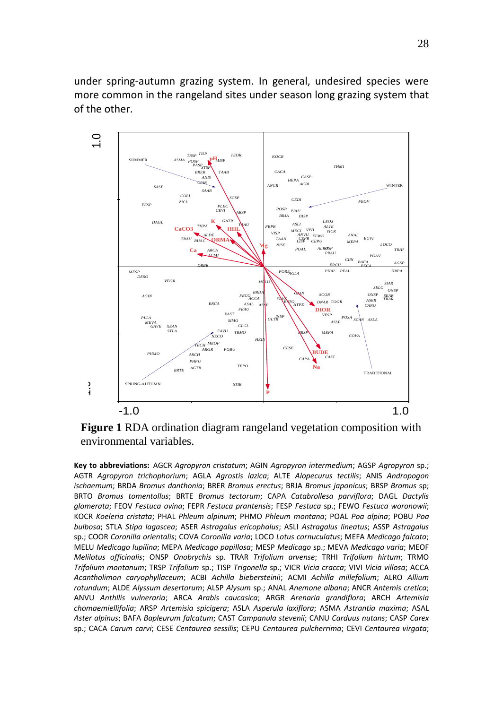under spring-autumn grazing system. In general, undesired species were more common in the rangeland sites under season long grazing system that of the other.



**Figure 1** RDA ordination diagram rangeland vegetation composition with environmental variables.

**Key to abbreviations:** AGCR *Agropyron cristatum*; AGIN *Agropyron intermedium*; AGSP *Agropyron* sp.; AGTR *Agropyron trichophorium*; AGLA *Agrostis lazica*; ALTE *Alopecurus tectilis*; ANIS *Andropogon ischaemum*; BRDA *Bromus danthonia*; BRER *Bromus erectus*; BRJA *Bromus japonicus*; BRSP *Bromus* sp; BRTO *Bromus tomentollus*; BRTE *Bromus tectorum*; CAPA *Catabrollesa parviflora*; DAGL *Dactylis glomerata*; FEOV *Festuca ovina*; FEPR *Festuca prantensis*; FESP *Festuca* sp.; FEWO *Festuca woronowii*; KOCR *Koeleria cristata*; PHAL *Phleum alpinum*; PHMO *Phleum montana*; POAL *Poa alpina*; POBU *Poa bulbosa*; STLA *Stipa lagascea*; ASER *Astragalus ericophalus*; ASLI *Astragalus lineatus*; ASSP *Astragalus* sp.; COOR *Coronilla orientalis*; COVA *Coronilla varia*; LOCO *Lotus cornuculatus*; MEFA *Medicago falcata*; MELU *Medicago lupilina*; MEPA *Medicago papillosa*; MESP *Medicago* sp.; MEVA *Medicago varia*; MEOF *Melilotus officinalis*; ONSP *Onobrychis* sp. TRAR *Trifolium arvense*; TRHI *Trifolium hirtum*; TRMO *Trifolium montanum*; TRSP *Trifolium* sp.; TISP *Trigonella* sp.; VICR *Vicia cracca*; VIVI *Vicia villosa*; ACCA *Acantholimon caryophyllaceum*; ACBI *Achilla biebersteini*i; ACMI *Achilla millefolium*; ALRO *Allium rotundum*; ALDE *Alyssum desertorum*; ALSP *Alysum* sp.; ANAL *Anemone albana*; ANCR *Antemis cretica*; ANVU *Anthllis vulneraria*; ARCA *Arabis caucasica*; ARGR *Arenaria grandiflora*; ARCH *Artemisia chomaemiellifolia*; ARSP *Artemisia spicigera*; ASLA *Asperula laxiflora*; ASMA *Astrantia maxima*; ASAL *Aster alpinus*; BAFA *Bapleurum falcatum*; CAST *Campanula stevenii*; CANU *Carduus nutans*; CASP *Carex* sp.; CACA *Carum carvi*; CESE *Centaurea sessilis*; CEPU *Centaurea pulcherrima*; CEVI *Centaurea virgata*;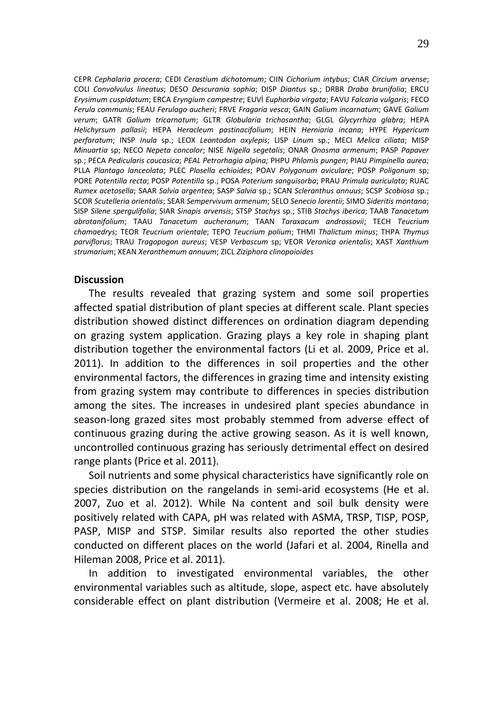CEPR *Cephalaria procera*; CEDI *Cerastium dichotomum*; CIIN *Cichorium intybus*; CIAR *Circium arvense*; COLI *Convolvulus lineatus*; DESO *Descurania sophia*; DISP *Diantus* sp.; DRBR *Draba brunifolia*; ERCU *Erysimum cuspidatum*; ERCA *Eryngium campestre*; EUVİ *Euphorbia virgata*; FAVU *Falcaria vulgaris*; FECO *Ferula communis*; FEAU *Ferulago aucheri*; FRVE *Fragaria vesca*; GAIN *Galium incarnatum*; GAVE *Galium verum*; GATR *Galium tricarnatum*; GLTR *Globularia trichosantha*; GLGL *Glycyrrhiza glabra*; HEPA *Helichyrsum pallasii*; HEPA *Heracleum pastinacifolium*; HEIN *Herniaria incana*; HYPE *Hypericum perfaratum*; INSP *Inula* sp.; LEOX *Leontodon oxylepis*; LISP *Linum* sp.; MECI *Melica ciliata*; MISP *Minuartia* sp; NECO *Nepeta concolor*; NISE *Nigella segetalis*; ONAR *Onosma armenum*; PASP *Papaver* sp.; PECA *Pedicularis caucasica*; *PEAL Petrorhagia alpina;* PHPU *Phlomis pungen*; PIAU *Pimpinella aurea*; PLLA *Plantago lanceolata*; PLEC *Plosella echioides*; POAV *Polygonum aviculare*; POSP *Poligonum* sp; PORE *Potentilla recta*; POSP *Potentilla* sp.; POSA *Poterium sanguisorba*; PRAU *Primula auriculata*; RUAC *Rumex acetosella*; SAAR *Salvia argentea*; SASP *Salvia* sp.; SCAN *Scleranthus annuus*; SCSP *Scobiosa* sp.; SCOR *Scutelleria orientalis*; SEAR *Sempervivum armenum*; SELO *Senecio lorentii*; SIMO *Sideritis montana*; SISP *Silene spergulifolia*; SIAR *Sinapis arvensis*; STSP *Stachys* sp.; STIB *Stachys iberica*; TAAB *Tanacetum abrotanifolium*; TAAU *Tanacetum aucheranum*; TAAN *Taraxacum androssovii*; TECH *Teucrium chamaedrys*; TEOR *Teucrium orientale*; TEPO *Teucrium polium*; THMI *Thalictum minus*; THPA *Thymus parviflorus*; TRAU *Tragopogon aureus*; VESP *Verbascum* sp; VEOR *Veronica orientalis*; XAST *Xanthium strumarium*; XEAN *Xeranthemum annuum*; ZICL *Ziziphora clinopoioides*

#### **Discussion**

The results revealed that grazing system and some soil properties affected spatial distribution of plant species at different scale. Plant species distribution showed distinct differences on ordination diagram depending on grazing system application. Grazing plays a key role in shaping plant distribution together the environmental factors (Li et al. 2009, Price et al. 2011). In addition to the differences in soil properties and the other environmental factors, the differences in grazing time and intensity existing from grazing system may contribute to differences in species distribution among the sites. The increases in undesired plant species abundance in season-long grazed sites most probably stemmed from adverse effect of continuous grazing during the active growing season. As it is well known, uncontrolled continuous grazing has seriously detrimental effect on desired range plants (Price et al. 2011).

Soil nutrients and some physical characteristics have significantly role on species distribution on the rangelands in semi-arid ecosystems (He et al. 2007, Zuo et al. 2012). While Na content and soil bulk density were positively related with CAPA, pH was related with ASMA, TRSP, TISP, POSP, PASP, MISP and STSP. Similar results also reported the other studies conducted on different places on the world (Jafari et al. 2004, Rinella and Hileman 2008, Price et al. 2011).

In addition to investigated environmental variables, the other environmental variables such as altitude, slope, aspect etc. have absolutely considerable effect on plant distribution (Vermeire et al. 2008; He et al.